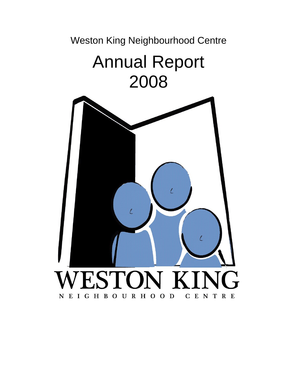Weston King Neighbourhood Centre

# Annual Report 2008

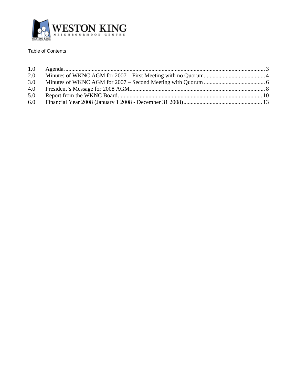

# Table of Contents

| 2.0 |  |
|-----|--|
| 3.0 |  |
| 4.0 |  |
| 5.0 |  |
|     |  |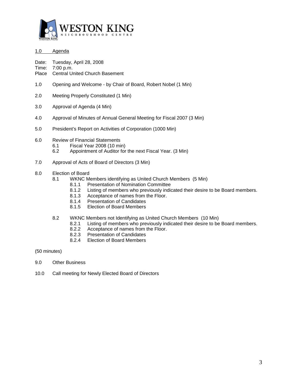

- <span id="page-2-0"></span>1.0 Agenda
- Date: Tuesday, April 28, 2008

Time: 7:00 p.m.

- Place Central United Church Basement
- 1.0 Opening and Welcome by Chair of Board, Robert Nobel (1 Min)
- 2.0 Meeting Properly Constituted (1 Min)
- 3.0 Approval of Agenda (4 Min)
- 4.0 Approval of Minutes of Annual General Meeting for Fiscal 2007 (3 Min)
- 5.0 President's Report on Activities of Corporation (1000 Min)
- 6.0 Review of Financial Statements
	- 6.1 Fiscal Year 2008 (10 min)<br>6.2 Appointment of Auditor for
	- Appointment of Auditor for the next Fiscal Year. (3 Min)
- 7.0 Approval of Acts of Board of Directors (3 Min)
- 8.0 Election of Board<br>8.1 WKNC M
	- WKNC Members identifying as United Church Members (5 Min)
		- 8.1.1 Presentation of Nomination Committee
		- 8.1.2 Listing of members who previously indicated their desire to be Board members.<br>8.1.3 Acceptance of names from the Floor.
		- Acceptance of names from the Floor.
		- 8.1.4 Presentation of Candidates
		- 8.1.5 Election of Board Members
	- 8.2 WKNC Members not Identifying as United Church Members (10 Min)
		- 8.2.1 Listing of members who previously indicated their desire to be Board members.<br>8.2.2 Acceptance of names from the Floor.
		- 8.2.2 Acceptance of names from the Floor.<br>8.2.3 Presentation of Candidates
		- Presentation of Candidates
		- 8.2.4 Election of Board Members

(50 minutes)

- 9.0 Other Business
- 10.0 Call meeting for Newly Elected Board of Directors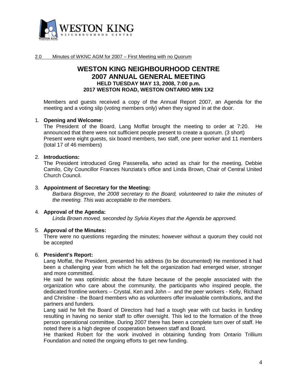

#### <span id="page-3-0"></span>2.0 Minutes of WKNC AGM for 2007 – First Meeting with no Quorum

# **WESTON KING NEIGHBOURHOOD CENTRE 2007 ANNUAL GENERAL MEETING HELD TUESDAY MAY 13, 2008, 7:00 p.m. 2017 WESTON ROAD, WESTON ONTARIO M9N 1X2**

Members and guests received a copy of the Annual Report 2007, an Agenda for the meeting and a voting slip (voting members only) when they signed in at the door.

## 1. **Opening and Welcome:**

The President of the Board, Lang Moffat brought the meeting to order at 7:20. He announced that there were not sufficient people present to create a quorum. (3 short) Present were eight guests, six board members, two staff, one peer worker and 11 members (total 17 of 46 members)

# 2. **Introductions:**

The President introduced Greg Passerella, who acted as chair for the meeting, Debbie Camilo, City Councillor Frances Nunziata's office and Linda Brown, Chair of Central United Church Council.

# 3. **Appointment of Secretary for the Meeting:**

*Barbara Bisgrove, the 2008 secretary to the Board, volunteered to take the minutes of the meeting. This was acceptable to the members.*

## 4. **Approval of the Agenda:**

*Linda Brown moved, seconded by Sylvia Keyes that the Agenda be approved.*

## 5. **Approval of the Minutes:**

There were no questions regarding the minutes; however without a quorum they could not be accepted

## 6. **President's Report:**

Lang Moffat, the President, presented his address (to be documented) He mentioned it had been a challenging year from which he felt the organization had emerged wiser, stronger and more committed.

He said he was optimistic about the future because of the people associated with the organization who care about the community, the participants who inspired people, the dedicated frontline workers – Crystal, Ken and John – and the peer workers - Kelly, Richard and Christine - the Board members who as volunteers offer invaluable contributions, and the partners and funders.

Lang said he felt the Board of Directors had had a tough year with cut backs in funding resulting in having no senior staff to offer oversight. This led to the formation of the three person operational committee. During 2007 there has been a complete turn over of staff. He noted there is a high degree of cooperation between staff and Board.

He thanked Robert for the work involved in obtaining funding from Ontario Trillium Foundation and noted the ongoing efforts to get new funding.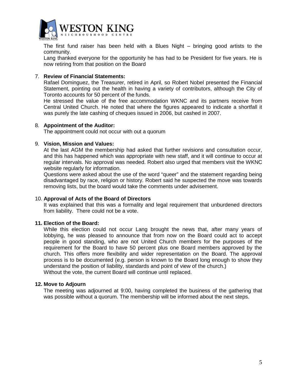

The first fund raiser has been held with a Blues Night – bringing good artists to the community.

Lang thanked everyone for the opportunity he has had to be President for five years. He is now retiring from that position on the Board

# 7. **Review of Financial Statements:**

Rafael Dominguez, the Treasurer, retired in April, so Robert Nobel presented the Financial Statement, pointing out the health in having a variety of contributors, although the City of Toronto accounts for 50 percent of the funds.

He stressed the value of the free accommodation WKNC and its partners receive from Central United Church. He noted that where the figures appeared to indicate a shortfall it was purely the late cashing of cheques issued in 2006, but cashed in 2007.

## 8. **Appointment of the Auditor:**

The appointment could not occur with out a quorum

#### 9. **Vision, Mission and Values:**

At the last AGM the membership had asked that further revisions and consultation occur, and this has happened which was appropriate with new staff, and it will continue to occur at regular intervals. No approval was needed. Robert also urged that members visit the WKNC website regularly for information.

Questions were asked about the use of the word "queer" and the statement regarding being disadvantaged by race, religion or history. Robert said he suspected the move was towards removing lists, but the board would take the comments under advisement.

## 10. **Approval of Acts of the Board of Directors**

It was explained that this was a formality and legal requirement that unburdened directors from liability. There could not be a vote.

## **11. Election of the Board:**

While this election could not occur Lang brought the news that, after many years of lobbying, he was pleased to announce that from now on the Board could act to accept people in good standing, who are not United Church members for the purposes of the requirement for the Board to have 50 percent plus one Board members approved by the church. This offers more flexibility and wider representation on the Board. The approval process is to be documented (e.g. person is known to the Board long enough to show they understand the position of liability, standards and point of view of the church.) Without the vote, the current Board will continue until replaced.

#### **12. Move to Adjourn**

The meeting was adjourned at 9:00, having completed the business of the gathering that was possible without a quorum. The membership will be informed about the next steps.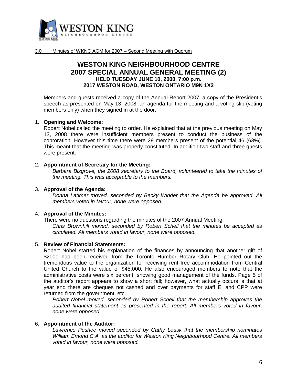

<span id="page-5-0"></span>3.0 Minutes of WKNC AGM for 2007 – Second Meeting with Quorum

# **WESTON KING NEIGHBOURHOOD CENTRE 2007 SPECIAL ANNUAL GENERAL MEETING (2) HELD TUESDAY JUNE 10, 2008, 7:00 p.m. 2017 WESTON ROAD, WESTON ONTARIO M9N 1X2**

Members and guests received a copy of the Annual Report 2007, a copy of the President's speech as presented on May 13, 2008, an agenda for the meeting and a voting slip (voting members only) when they signed in at the door.

## 1. **Opening and Welcome:**

Robert Nobel called the meeting to order. He explained that at the previous meeting on May 13, 2008 there were insufficient members present to conduct the business of the coproration. However this time there were 29 members present of the potential 46 (63%). This meant that the meeting was properly constituted. In addition two staff and three guests were present.

# 2. **Appointment of Secretary for the Meeting:**

*Barbara Bisgrove, the 2008 secretary to the Board, volunteered to take the minutes of the meeting. This was acceptable to the members.*

## 3. **Approval of the Agenda:**

*Donna Latimer moved, seconded by Becky Winder that the Agenda be approved. All members voted in favour, none were opposed.*

## 4. **Approval of the Minutes:**

There were no questions regarding the minutes of the 2007 Annual Meeting.

*Chris Brownhill moved, seconded by Robert Schell that the minutes be accepted as circulated. All members voted in favour, none were opposed.*

## 5. **Review of Financial Statements:**

Robert Nobel started his explanation of the finances by announcing that another gift of \$2000 had been received from the Toronto Humber Rotary Club. He pointed out the tremendous value to the organization for receiving rent free accommodation from Central United Church to the value of \$45,000. He also encouraged members to note that the administrative costs were six percent, showing good management of the funds. Page 5 of the auditor's report appears to show a short fall; however, what actually occurs is that at year end there are cheques not cashed and over payments for staff EI and CPP were returned from the government, etc.

*Robert Nobel moved, seconded by Robert Schell that the membership approves the audited financial statement as presented in the report. All members voted in favour, none were opposed.*

## 6. **Appointment of the Auditor:**

*Lawrence Pushee moved seconded by Cathy Leask that the membership nominates William Emond C.A. as the auditor for Weston King Neighbourhood Centre. All members voted in favour, none were opposed.*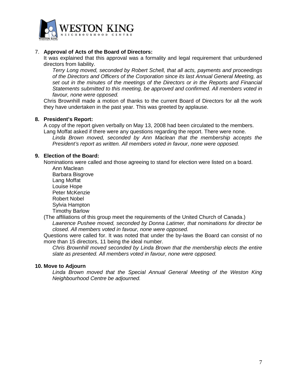

# 7. **Approval of Acts of the Board of Directors:**

It was explained that this approval was a formality and legal requirement that unburdened directors from liability.

*Terry Long moved, seconded by Robert Schell, that all acts, payments and proceedings of the Directors and Officers of the Corporation since its last Annual General Meeting, as set out in the minutes of the meetings of the Directors or in the Reports and Financial Statements submitted to this meeting, be approved and confirmed. All members voted in favour, none were opposed.*

Chris Brownhill made a motion of thanks to the current Board of Directors for all the work they have undertaken in the past year. This was greeted by applause.

# **8. President's Report:**

A copy of the report given verbally on May 13, 2008 had been circulated to the members. Lang Moffat asked if there were any questions regarding the report. There were none.

*Linda Brown moved, seconded by Ann Maclean that the membership accepts the President's report as written. All members voted in favour, none were opposed.*

# **9. Election of the Board:**

Nominations were called and those agreeing to stand for election were listed on a board.

Ann Maclean Barbara Bisgrove Lang Moffat Louise Hope Peter McKenzie Robert Nobel Sylvia Hampton Timothy Barlow

(The affiliations of this group meet the requirements of the United Church of Canada.)

*Lawrence Pushee moved, seconded by Donna Latimer, that nominations for director be closed. All members voted in favour, none were opposed.*

Questions were called for. It was noted that under the by-laws the Board can consist of no more than 15 directors, 11 being the ideal number.

*Chris Brownhill moved seconded by Linda Brown that the membership elects the entire slate as presented. All members voted in favour, none were opposed.*

## **10. Move to Adjourn**

Linda Brown moved that the Special Annual General Meeting of the Weston King *Neighbourhood Centre be adjourned.*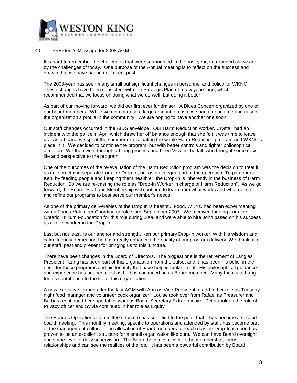

#### <span id="page-7-0"></span>4.0 President's Message for 2008 AGM

It is hard to remember the challenges that were surmounted in the past year, surrounded as we are by the challenges of today. One purpose of the Annual meeting is to reflect on the success and growth that we have had in our recent past.

The 2008-year has seen many small but significant changes in personnel and policy for WKNC. These changes have been consistent with the Strategic Plan of a few years ago, which recommended that we focus on doing what we do well, but doing it better.

As part of our moving forward, we did our first ever fundraiser! A Blues Concert organized by one of our board members. While we did not raise a large amount of cash, we had a good time and raised the organization's profile in the community. We are hoping to have another one soon.

Our staff changes occurred in the AIDS envelope. Our Harm Reduction worker, Crystal, had an incident with the police in April which threw her off balance enough that she felt it was time to leave us. As a board, we spent the summer re-evaluating the whole Harm Reduction program and WKNC's place in it. We decided to continue the program, but with better controls and tighter philosophical direction. We then went through a hiring process and hired Vicki in the fall, who brought some new life and perspective to the program.

One of the outcomes of the re-evaluation of the Harm Reduction program was the decision to treat it as not something separate from the Drop-In, but as an integral part of the operation. To paraphrase Ken, by feeding people and keeping them healthier, the Drop-In is inherently in the business of Harm Reduction. So we are re-casting the role as "Drop-In Worker in charge of Harm Reduction". As we go forward, the Board, Staff and Membership will continue to learn from what works and what doesn't and refine our programs to best serve our member's needs.

As one of the primary deliverables of the Drop In is healthful Food, WKNC had been experimenting with a Food / Volunteer Coordinator role since September 2007. We received funding from the Ontario Trillium Foundation for this role during 2008 and were able to hire John based on his success as a relief worker in the Drop-In.

Last but not least, is our anchor and strength, Ken our primary Drop-in worker. With his wisdom and calm, friendly demeanor, he has greatly enhanced the quality of our program delivery. We thank all of our staff, past and present for bringing us to this juncture.

There have been changes in the Board of Directors. The biggest one is the retirement of Lang as President. Lang has been part of this organization from the outset and it has been his belief in the need for these programs and his tenacity that have helped make it real. His philosophical guidance and experience has not been lost as he has continued on as Board member. Many thanks to Lang for his contribution to the life of this organization.

A new executive formed after the last AGM with Ann as Vice-President to add to her role as Tuesday night food manager and volunteer cook organizer. Louise took over from Rafael as Treasurer and Barbara continued her superlative work as Board Secretary Extraordinaire. Peter took on the role of Privacy officer and Sylvia continued in her role as Equity.

The Board's Operations Committee structure has solidified to the point that it has become a second board meeting. This monthly meeting, specific to operations and attended by staff, has become part of the management culture. The allocation of Board members for each day the Drop-In is open has proven to be an excellent structure for a small organization like ours. We can have Board oversight and some level of daily supervision. The Board becomes closer to the membership, forms relationships and can see the realities of the job. It has been a powerful contribution by Board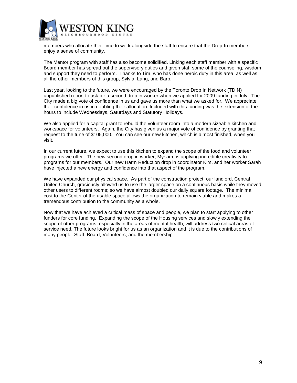

members who allocate their time to work alongside the staff to ensure that the Drop-In members enjoy a sense of community.

The Mentor program with staff has also become solidified. Linking each staff member with a specific Board member has spread out the supervisory duties and given staff some of the counseling, wisdom and support they need to perform. Thanks to Tim, who has done heroic duty in this area, as well as all the other members of this group, Sylvia, Lang, and Barb.

Last year, looking to the future, we were encouraged by the Toronto Drop In Network (TDIN) unpublished report to ask for a second drop in worker when we applied for 2009 funding in July. The City made a big vote of confidence in us and gave us more than what we asked for. We appreciate their confidence in us in doubling their allocation. Included with this funding was the extension of the hours to include Wednesdays, Saturdays and Statutory Holidays.

We also applied for a capital grant to rebuild the volunteer room into a modern sizeable kitchen and workspace for volunteers. Again, the City has given us a major vote of confidence by granting that request to the tune of \$105,000. You can see our new kitchen, which is almost finished, when you visit.

In our current future, we expect to use this kitchen to expand the scope of the food and volunteer programs we offer. The new second drop in worker, Myriam, is applying incredible creativity to programs for our members. Our new Harm Reduction drop in coordinator Kim, and her worker Sarah have injected a new energy and confidence into that aspect of the program.

We have expanded our physical space. As part of the construction project, our landlord, Central United Church, graciously allowed us to use the larger space on a continuous basis while they moved other users to different rooms; so we have almost doubled our daily square footage. The minimal cost to the Center of the usable space allows the organization to remain viable and makes a tremendous contribution to the community as a whole.

Now that we have achieved a critical mass of space and people, we plan to start applying to other funders for core funding. Expanding the scope of the Housing services and slowly extending the scope of other programs, especially in the areas of mental health, will address two critical areas of service need. The future looks bright for us as an organization and it is due to the contributions of many people: Staff, Board, Volunteers, and the membership.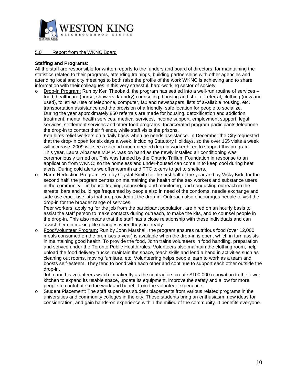

#### <span id="page-9-0"></span>5.0 Report from the WKNC Board

#### **Staffing and Programs**:

All the staff are responsible for written reports to the funders and board of directors, for maintaining the statistics related to their programs, attending trainings, building partnerships with other agencies and attending local and city meetings to both raise the profile of the work WKNC is achieving and to share information with their colleagues in this very stressful, hard-working sector of society.

 $\circ$  Drop-in Program: Run by Ken Theobald, the program has settled into a well-run routine of services – food, healthcare (nurse, showers, laundry) counseling, housing and shelter referral, clothing (new and used), toiletries, use of telephone, computer, fax and newspapers, lists of available housing, etc. transportation assistance and the provision of a friendly, safe location for people to socialize. During the year approximately 850 referrals are made for housing, detoxification and addiction treatment, mental health services, medical services, income support, employment support, legal services, settlement services and other food programs. Incarcerated program participants telephone the drop-in to contact their friends, while staff visits the prisons.

Ken hires relief workers on a daily basis when he needs assistance. In December the City requested that the drop-in open for six days a week, including Statutory Holidays, so the over 165 visits a week will increase. 2009 will see a second much-needed drop-in worker hired to support this program. This year, Laura Albanese M.P.P. was on hand as the newly installed air conditioning was ceremoniously turned on. This was funded by the Ontario Trillium Foundation in response to an application from WKNC; so the homeless and under-housed can come in to keep cool during heat alerts. During cold alerts we offer warmth and TTC tokens to get to shelters.

Harm Reduction Program: Run by Crystal Smith for the first half of the year and by Vicky Kidd for the second half, the program centres on maintaining the health of the sex workers and substance users in the community – in-house training, counseling and monitoring, and conducting outreach in the streets, bars and buildings frequented by people also in need of the condoms, needle exchange and safe use crack use kits that are provided at the drop-in. Outreach also encourages people to visit the drop-in for the broader range of services.

Peer workers, applying for the job from the participant population, are hired on an hourly basis to assist the staff person to make contacts during outreach, to make the kits, and to counsel people in the drop-in. This also means that the staff has a close relationship with these individuals and can assist them in making life changes when they are ready.

o Food/Volunteer Program: Run by John Marshall, the program ensures nutritious food (over 12,000 meals consumed on the premises a year) is available when the drop-in is open, which in turn assists in maintaining good health. To provide the food, John trains volunteers in food handling, preparation and service under the Toronto Public Health rules. Volunteers also maintain the clothing room, help unload the food delivery trucks, maintain the space, teach skills and lend a hand in activities such as cleaning out rooms, moving furniture, etc. Volunteering helps people learn to work as a team and boosts self-esteem. They tend to bond with each other and continue to support each other outside the drop-in.

John and his volunteers watch impatiently as the contractors create \$100,000 renovation to the lower kitchen to expand its usable space, update its equipment, improve the safety and allow for more people to contribute to the work and benefit from the volunteer experience.

o Student Placement: The staff supervises student placements from various related programs in the universities and community colleges in the city. These students bring an enthusiasm, new ideas for consideration, and gain hands-on experience within the milieu of the community. It benefits everyone.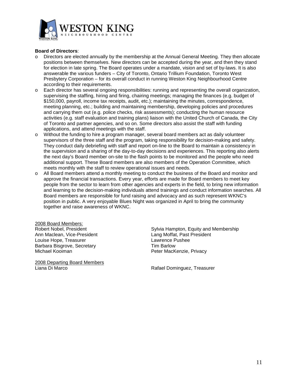

#### **Board of Directors**:

- o Directors are elected annually by the membership at the Annual General Meeting. They then allocate positions between themselves. New directors can be accepted during the year, and then they stand for election in late spring. The Board operates under a mandate, vision and set of by-laws. It is also answerable the various funders – City of Toronto, Ontario Trillium Foundation, Toronto West Presbytery Corporation – for its overall conduct in running Weston King Neighbourhood Centre according to their requirements.
- o Each director has several ongoing responsibilities: running and representing the overall organization, supervising the staffing, hiring and firing, chairing meetings; managing the finances (e.g. budget of \$150,000, payroll, income tax receipts, audit, etc.); maintaining the minutes, correspondence, meeting planning, etc.; building and maintaining membership, developing policies and procedures and carrying them out (e.g. police checks, risk assessments); conducting the human resource activities (e.g. staff evaluation and training plans) liaison with the United Church of Canada, the City of Toronto and partner agencies, and so on. Some directors also assist the staff with funding applications, and attend meetings with the staff.
- o Without the funding to hire a program manager, several board members act as daily volunteer supervisors of the three staff and the program, taking responsibility for decision-making and safety. They conduct daily debriefing with staff and report on-line to the Board to maintain a consistency in the supervision and a sharing of the day-to-day decisions and experiences. This reporting also alerts the next day's Board member on-site to the flash points to be monitored and the people who need additional support. These Board members are also members of the Operation Committee, which meets monthly with the staff to review operational issues and needs.
- o All Board members attend a monthly meeting to conduct the business of the Board and monitor and approve the financial transactions. Every year, efforts are made for Board members to meet key people from the sector to learn from other agencies and experts in the field, to bring new information and learning to the decision-making individuals attend trainings and conduct information searches. All Board members are responsible for fund raising and advocacy and as such represent WKNC's position in public. A very enjoyable Blues Night was organized in April to bring the community together and raise awareness of WKNC.

2008 Board Members:<br>Robert Nobel, President Ann Maclean, Vice-President Louise Hope, Treasurer Lawrence Pushee<br>
Barbara Bisgrove, Secretary 
and Lawrence Pushee<br>
Tim Barlow Barbara Bisgrove, Secretary Michael Kooiman **Peter MacKenzie, Privacy** Peter MacKenzie, Privacy

2008 Departing Board Members Liana Di Marco Rafael Dominguez, Treasurer

Sylvia Hampton, Equity and Membership<br>Lang Moffat, Past President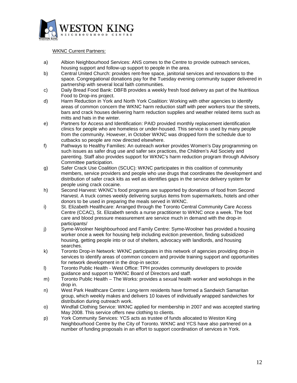

WKNC Current Partners:

- a) Albion Neighbourhood Services: ANS comes to the Centre to provide outreach services, housing support and follow-up support to people in the area.
- b) Central United Church: provides rent-free space, janitorial services and renovations to the space. Congregational donations pay for the Tuesday evening community supper delivered in partnership with several local faith communities.
- c) Daily Bread Food Bank: DBFB provides a weekly fresh food delivery as part of the Nutritious Food to Drop-ins project.
- d) Harm Reduction in York and North York Coalition: Working with other agencies to identify areas of common concern the WKNC harm reduction staff with peer workers tour the streets, bars and crack houses delivering harm reduction supplies and weather related items such as mitts and hats in the winter.
- e) Partners for Access and Identification: PAID provided monthly replacement identification clinics for people who are homeless or under-housed. This service is used by many people from the community. However, in October WKNC was dropped form the schedule due to cutbacks so people are now directed elsewhere.
- f) Pathways to Healthy Families: An outreach worker provides Women's Day programming on such issues as safer drug use and safer sex practices, the Children's Aid Society and parenting. Staff also provides support for WKNC's harm reduction program through Advisory Committee participation.
- g) Safer Crack Use Coalition (SCUC): WKNC participates in this coalition of community members, service providers and people who use drugs that coordinates the development and distribution of safer crack kits as well as identifies gaps in the service delivery system for people using crack cocaine.
- h) Second Harvest: WKNC's food programs are supported by donations of food from Second Harvest. A truck comes weekly delivering surplus items from supermarkets, hotels and other donors to be used in preparing the meals served in WKNC.
- i) St. Elizabeth Healthcare: Arranged through the Toronto Central Community Care Access Centre (CCAC), St. Elizabeth sends a nurse practitioner to WKNC once a week. The foot care and blood pressure measurement are service much in demand with the drop-in participants/
- j) Syme-Woolner Neighbourhood and Family Centre: Syme-Woolner has provided a housing worker once a week for housing help including eviction prevention, finding subsidized housing, getting people into or out of shelters, advocacy with landlords, and housing searches.
- k) Toronto Drop-in Network: WKNC participates in this network of agencies providing drop-in services to identify areas of common concern and provide training support and opportunities for network development in the drop-in sector.
- l) Toronto Public Health West Office: TPH provides community developers to provide guidance and support to WKNC Board of Directors and staff.
- m) Toronto Public Health The Works: provides a sexual health worker and workshops in the drop in.
- n) West Park Healthcare Centre: Long-term residents have formed a Sandwich Samaritan group, which weekly makes and delivers 10 loaves of individually wrapped sandwiches for distribution during outreach work.
- o) Windfall Clothing Service: WKNC applied for membership in 2007 and was accepted starting May 2008. This service offers new clothing to clients.
- p) York Community Services: YCS acts as trustee of funds allocated to Weston King Neighbourhood Centre by the City of Toronto. WKNC and YCS have also partnered on a number of funding proposals in an effort to support coordination of services in York.